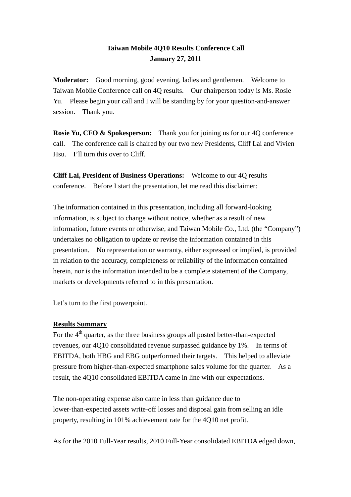# **Taiwan Mobile 4Q10 Results Conference Call January 27, 2011**

**Moderator:** Good morning, good evening, ladies and gentlemen. Welcome to Taiwan Mobile Conference call on 4Q results. Our chairperson today is Ms. Rosie Yu. Please begin your call and I will be standing by for your question-and-answer session. Thank you.

**Rosie Yu, CFO & Spokesperson:** Thank you for joining us for our 40 conference call. The conference call is chaired by our two new Presidents, Cliff Lai and Vivien Hsu. I'll turn this over to Cliff.

**Cliff Lai, President of Business Operations:** Welcome to our 4Q results conference. Before I start the presentation, let me read this disclaimer:

The information contained in this presentation, including all forward-looking information, is subject to change without notice, whether as a result of new information, future events or otherwise, and Taiwan Mobile Co., Ltd. (the "Company") undertakes no obligation to update or revise the information contained in this presentation. No representation or warranty, either expressed or implied, is provided in relation to the accuracy, completeness or reliability of the information contained herein, nor is the information intended to be a complete statement of the Company, markets or developments referred to in this presentation.

Let's turn to the first powerpoint.

## **Results Summary**

For the  $4<sup>th</sup>$  quarter, as the three business groups all posted better-than-expected revenues, our 4Q10 consolidated revenue surpassed guidance by 1%. In terms of EBITDA, both HBG and EBG outperformed their targets. This helped to alleviate pressure from higher-than-expected smartphone sales volume for the quarter. As a result, the 4Q10 consolidated EBITDA came in line with our expectations.

The non-operating expense also came in less than guidance due to lower-than-expected assets write-off losses and disposal gain from selling an idle property, resulting in 101% achievement rate for the 4Q10 net profit.

As for the 2010 Full-Year results, 2010 Full-Year consolidated EBITDA edged down,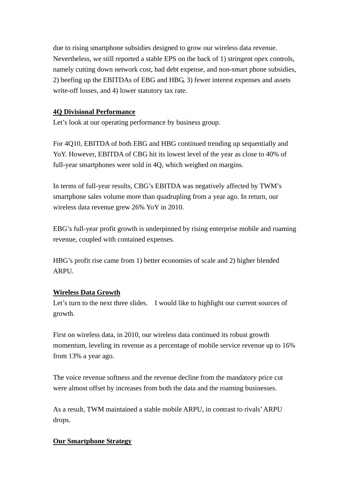due to rising smartphone subsidies designed to grow our wireless data revenue. Nevertheless, we still reported a stable EPS on the back of 1) stringent opex controls, namely cutting down network cost, bad debt expense, and non-smart phone subsidies, 2) beefing up the EBITDAs of EBG and HBG, 3) fewer interest expenses and assets write-off losses, and 4) lower statutory tax rate.

## **4Q Divisional Performance**

Let's look at our operating performance by business group.

For 4Q10, EBITDA of both EBG and HBG continued trending up sequentially and YoY. However, EBITDA of CBG hit its lowest level of the year as close to 40% of full-year smartphones were sold in 4Q, which weighed on margins.

In terms of full-year results, CBG's EBITDA was negatively affected by TWM's smartphone sales volume more than quadrupling from a year ago. In return, our wireless data revenue grew 26% YoY in 2010.

EBG's full-year profit growth is underpinned by rising enterprise mobile and roaming revenue, coupled with contained expenses.

HBG's profit rise came from 1) better economies of scale and 2) higher blended ARPU.

#### **Wireless Data Growth**

Let's turn to the next three slides. I would like to highlight our current sources of growth.

First on wireless data, in 2010, our wireless data continued its robust growth momentum, leveling its revenue as a percentage of mobile service revenue up to 16% from 13% a year ago.

The voice revenue softness and the revenue decline from the mandatory price cut were almost offset by increases from both the data and the roaming businesses.

As a result, TWM maintained a stable mobile ARPU, in contrast to rivals' ARPU drops.

#### **Our Smartphone Strategy**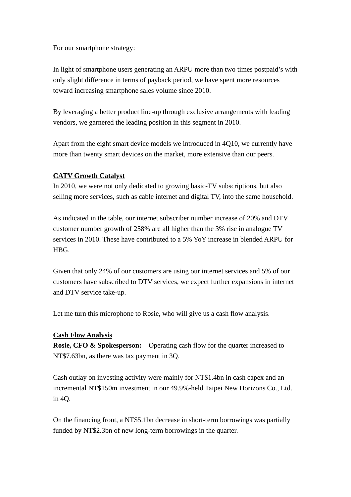For our smartphone strategy:

In light of smartphone users generating an ARPU more than two times postpaid's with only slight difference in terms of payback period, we have spent more resources toward increasing smartphone sales volume since 2010.

By leveraging a better product line-up through exclusive arrangements with leading vendors, we garnered the leading position in this segment in 2010.

Apart from the eight smart device models we introduced in 4Q10, we currently have more than twenty smart devices on the market, more extensive than our peers.

## **CATV Growth Catalyst**

In 2010, we were not only dedicated to growing basic-TV subscriptions, but also selling more services, such as cable internet and digital TV, into the same household.

As indicated in the table, our internet subscriber number increase of 20% and DTV customer number growth of 258% are all higher than the 3% rise in analogue TV services in 2010. These have contributed to a 5% YoY increase in blended ARPU for HBG.

Given that only 24% of our customers are using our internet services and 5% of our customers have subscribed to DTV services, we expect further expansions in internet and DTV service take-up.

Let me turn this microphone to Rosie, who will give us a cash flow analysis.

#### **Cash Flow Analysis**

**Rosie, CFO & Spokesperson:** Operating cash flow for the quarter increased to NT\$7.63bn, as there was tax payment in 3Q.

Cash outlay on investing activity were mainly for NT\$1.4bn in cash capex and an incremental NT\$150m investment in our 49.9%-held Taipei New Horizons Co., Ltd. in 4Q.

On the financing front, a NT\$5.1bn decrease in short-term borrowings was partially funded by NT\$2.3bn of new long-term borrowings in the quarter.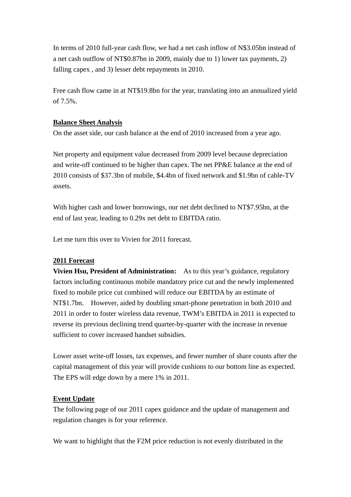In terms of 2010 full-year cash flow, we had a net cash inflow of N\$3.05bn instead of a net cash outflow of NT\$0.87bn in 2009, mainly due to 1) lower tax payments, 2) falling capex , and 3) lesser debt repayments in 2010.

Free cash flow came in at NT\$19.8bn for the year, translating into an annualized yield of 7.5%.

## **Balance Sheet Analysis**

On the asset side, our cash balance at the end of 2010 increased from a year ago.

Net property and equipment value decreased from 2009 level because depreciation and write-off continued to be higher than capex. The net PP&E balance at the end of 2010 consists of \$37.3bn of mobile, \$4.4bn of fixed network and \$1.9bn of cable-TV assets.

With higher cash and lower borrowings, our net debt declined to NT\$7.95bn, at the end of last year, leading to 0.29x net debt to EBITDA ratio.

Let me turn this over to Vivien for 2011 forecast.

## **2011 Forecast**

**Vivien Hsu, President of Administration:** As to this year's guidance, regulatory factors including continuous mobile mandatory price cut and the newly implemented fixed to mobile price cut combined will reduce our EBITDA by an estimate of NT\$1.7bn. However, aided by doubling smart-phone penetration in both 2010 and 2011 in order to foster wireless data revenue, TWM's EBITDA in 2011 is expected to reverse its previous declining trend quarter-by-quarter with the increase in revenue sufficient to cover increased handset subsidies.

Lower asset write-off losses, tax expenses, and fewer number of share counts after the capital management of this year will provide cushions to our bottom line as expected. The EPS will edge down by a mere 1% in 2011.

## **Event Update**

The following page of our 2011 capex guidance and the update of management and regulation changes is for your reference.

We want to highlight that the F2M price reduction is not evenly distributed in the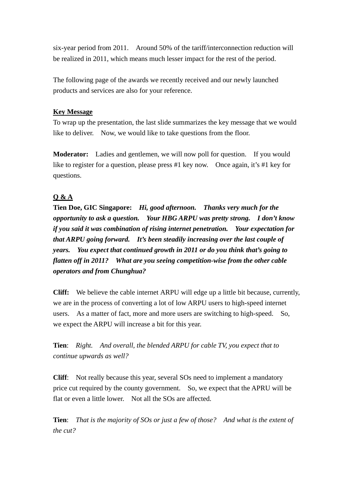six-year period from 2011. Around 50% of the tariff/interconnection reduction will be realized in 2011, which means much lesser impact for the rest of the period.

The following page of the awards we recently received and our newly launched products and services are also for your reference.

## **Key Message**

To wrap up the presentation, the last slide summarizes the key message that we would like to deliver. Now, we would like to take questions from the floor.

**Moderator:** Ladies and gentlemen, we will now poll for question. If you would like to register for a question, please press #1 key now. Once again, it's #1 key for questions.

# **Q & A**

**Tien Doe, GIC Singapore:** *Hi, good afternoon. Thanks very much for the opportunity to ask a question. Your HBG ARPU was pretty strong. I don't know if you said it was combination of rising internet penetration. Your expectation for that ARPU going forward. It's been steadily increasing over the last couple of years. You expect that continued growth in 2011 or do you think that's going to flatten off in 2011? What are you seeing competition-wise from the other cable operators and from Chunghua?*

**Cliff:** We believe the cable internet ARPU will edge up a little bit because, currently, we are in the process of converting a lot of low ARPU users to high-speed internet users. As a matter of fact, more and more users are switching to high-speed. So, we expect the ARPU will increase a bit for this year.

**Tien**: *Right. And overall, the blended ARPU for cable TV, you expect that to continue upwards as well?*

**Cliff**: Not really because this year, several SOs need to implement a mandatory price cut required by the county government. So, we expect that the APRU will be flat or even a little lower. Not all the SOs are affected.

**Tien**: *That is the majority of SOs or just a few of those? And what is the extent of the cut?*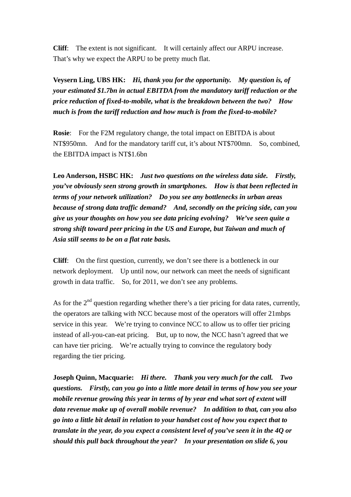**Cliff**: The extent is not significant. It will certainly affect our ARPU increase. That's why we expect the ARPU to be pretty much flat.

**Veysern Ling, UBS HK:** *Hi, thank you for the opportunity. My question is, of your estimated \$1.7bn in actual EBITDA from the mandatory tariff reduction or the price reduction of fixed-to-mobile, what is the breakdown between the two? How much is from the tariff reduction and how much is from the fixed-to-mobile?* 

**Rosie:** For the F2M regulatory change, the total impact on EBITDA is about NT\$950mn. And for the mandatory tariff cut, it's about NT\$700mn. So, combined, the EBITDA impact is NT\$1.6bn

**Leo Anderson, HSBC HK:** *Just two questions on the wireless data side. Firstly, you've obviously seen strong growth in smartphones. How is that been reflected in terms of your network utilization? Do you see any bottlenecks in urban areas because of strong data traffic demand? And, secondly on the pricing side, can you give us your thoughts on how you see data pricing evolving? We've seen quite a strong shift toward peer pricing in the US and Europe, but Taiwan and much of Asia still seems to be on a flat rate basis.*

**Cliff**: On the first question, currently, we don't see there is a bottleneck in our network deployment. Up until now, our network can meet the needs of significant growth in data traffic. So, for 2011, we don't see any problems.

As for the  $2<sup>nd</sup>$  question regarding whether there's a tier pricing for data rates, currently, the operators are talking with NCC because most of the operators will offer 21mbps service in this year. We're trying to convince NCC to allow us to offer tier pricing instead of all-you-can-eat pricing. But, up to now, the NCC hasn't agreed that we can have tier pricing. We're actually trying to convince the regulatory body regarding the tier pricing.

**Joseph Quinn, Macquarie:** *Hi there. Thank you very much for the call. Two questions. Firstly, can you go into a little more detail in terms of how you see your mobile revenue growing this year in terms of by year end what sort of extent will data revenue make up of overall mobile revenue? In addition to that, can you also go into a little bit detail in relation to your handset cost of how you expect that to translate in the year, do you expect a consistent level of you've seen it in the 4Q or should this pull back throughout the year? In your presentation on slide 6, you*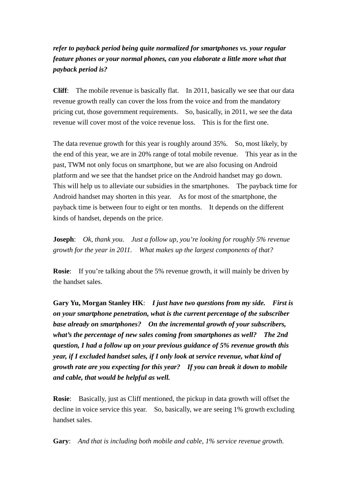# *refer to payback period being quite normalized for smartphones vs. your regular feature phones or your normal phones, can you elaborate a little more what that payback period is?*

**Cliff**: The mobile revenue is basically flat. In 2011, basically we see that our data revenue growth really can cover the loss from the voice and from the mandatory pricing cut, those government requirements. So, basically, in 2011, we see the data revenue will cover most of the voice revenue loss. This is for the first one.

The data revenue growth for this year is roughly around 35%. So, most likely, by the end of this year, we are in 20% range of total mobile revenue. This year as in the past, TWM not only focus on smartphone, but we are also focusing on Android platform and we see that the handset price on the Android handset may go down. This will help us to alleviate our subsidies in the smartphones. The payback time for Android handset may shorten in this year. As for most of the smartphone, the payback time is between four to eight or ten months. It depends on the different kinds of handset, depends on the price.

**Joseph**: *Ok, thank you. Just a follow up, you're looking for roughly 5% revenue growth for the year in 2011. What makes up the largest components of that?*

**Rosie**: If you're talking about the 5% revenue growth, it will mainly be driven by the handset sales.

**Gary Yu, Morgan Stanley HK**: *I just have two questions from my side. First is on your smartphone penetration, what is the current percentage of the subscriber base already on smartphones? On the incremental growth of your subscribers, what's the percentage of new sales coming from smartphones as well? The 2nd question, I had a follow up on your previous guidance of 5% revenue growth this year, if I excluded handset sales, if I only look at service revenue, what kind of growth rate are you expecting for this year? If you can break it down to mobile and cable, that would be helpful as well.*

**Rosie**: Basically, just as Cliff mentioned, the pickup in data growth will offset the decline in voice service this year. So, basically, we are seeing 1% growth excluding handset sales.

**Gary**: *And that is including both mobile and cable, 1% service revenue growth.*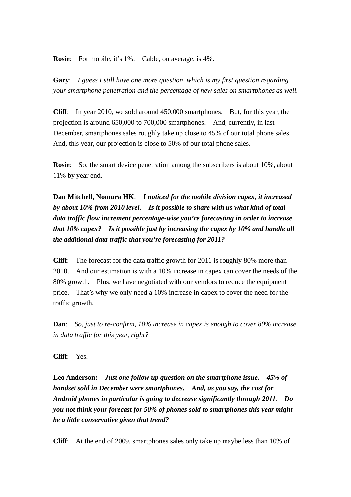**Rosie**: For mobile, it's 1%. Cable, on average, is 4%.

**Gary**: *I guess I still have one more question, which is my first question regarding your smartphone penetration and the percentage of new sales on smartphones as well.*

**Cliff**: In year 2010, we sold around 450,000 smartphones. But, for this year, the projection is around 650,000 to 700,000 smartphones. And, currently, in last December, smartphones sales roughly take up close to 45% of our total phone sales. And, this year, our projection is close to 50% of our total phone sales.

**Rosie**: So, the smart device penetration among the subscribers is about 10%, about 11% by year end.

**Dan Mitchell, Nomura HK**: *I noticed for the mobile division capex, it increased by about 10% from 2010 level. Is it possible to share with us what kind of total data traffic flow increment percentage-wise you're forecasting in order to increase that 10% capex? Is it possible just by increasing the capex by 10% and handle all the additional data traffic that you're forecasting for 2011?*

**Cliff**: The forecast for the data traffic growth for 2011 is roughly 80% more than 2010. And our estimation is with a 10% increase in capex can cover the needs of the 80% growth. Plus, we have negotiated with our vendors to reduce the equipment price. That's why we only need a 10% increase in capex to cover the need for the traffic growth.

**Dan**: *So, just to re-confirm, 10% increase in capex is enough to cover 80% increase in data traffic for this year, right?* 

**Cliff**: Yes.

**Leo Anderson:** *Just one follow up question on the smartphone issue. 45% of handset sold in December were smartphones. And, as you say, the cost for Android phones in particular is going to decrease significantly through 2011. Do you not think your forecast for 50% of phones sold to smartphones this year might be a little conservative given that trend?* 

**Cliff**: At the end of 2009, smartphones sales only take up maybe less than 10% of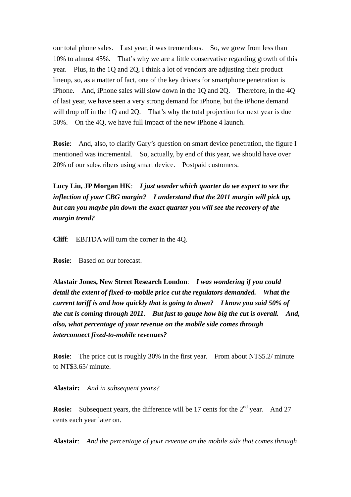our total phone sales. Last year, it was tremendous. So, we grew from less than 10% to almost 45%. That's why we are a little conservative regarding growth of this year. Plus, in the 1Q and 2Q, I think a lot of vendors are adjusting their product lineup, so, as a matter of fact, one of the key drivers for smartphone penetration is iPhone. And, iPhone sales will slow down in the 1Q and 2Q. Therefore, in the 4Q of last year, we have seen a very strong demand for iPhone, but the iPhone demand will drop off in the 1Q and 2Q. That's why the total projection for next year is due 50%. On the 4Q, we have full impact of the new iPhone 4 launch.

**Rosie**: And, also, to clarify Gary's question on smart device penetration, the figure I mentioned was incremental. So, actually, by end of this year, we should have over 20% of our subscribers using smart device. Postpaid customers.

**Lucy Liu, JP Morgan HK**: *I just wonder which quarter do we expect to see the inflection of your CBG margin? I understand that the 2011 margin will pick up, but can you maybe pin down the exact quarter you will see the recovery of the margin trend?*

**Cliff**: EBITDA will turn the corner in the 4Q.

**Rosie**: Based on our forecast.

**Alastair Jones, New Street Research London**: *I was wondering if you could detail the extent of fixed-to-mobile price cut the regulators demanded. What the current tariff is and how quickly that is going to down? I know you said 50% of the cut is coming through 2011. But just to gauge how big the cut is overall. And, also, what percentage of your revenue on the mobile side comes through interconnect fixed-to-mobile revenues?*

**Rosie**: The price cut is roughly 30% in the first year. From about NT\$5.2/ minute to NT\$3.65/ minute.

**Alastair:** *And in subsequent years?*

**Rosie:** Subsequent years, the difference will be 17 cents for the 2<sup>nd</sup> year. And 27 cents each year later on.

**Alastair**: *And the percentage of your revenue on the mobile side that comes through*